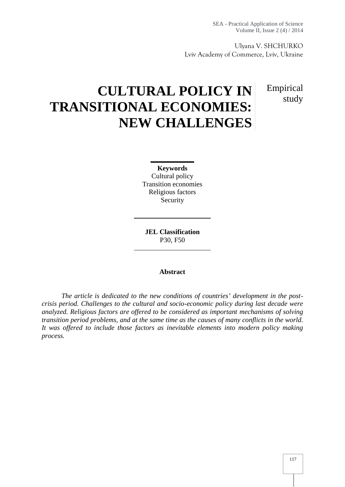Empirical

study

Ulyana V. SHCHURKO Lviv Academy of Commerce, Lviv, Ukraine

# **CULTURAL POLICY IN TRANSITIONAL ECONOMIES: NEW CHALLENGES**

**Keywords** Cultural policy Transition economies Religious factors Security

**JEL Classification** P30, F50

#### **Abstract**

*The article is dedicated to the new conditions of countries' development in the post crisis period. Challenges to the cultural and socio-economic policy during last decade were analyzed. Religious factors are offered to be considered as important mechanisms of solving transition period problems, and at the same time as the causes of many conflicts in the world. It was offered to include those factors as inevitable elements into modern policy making process.*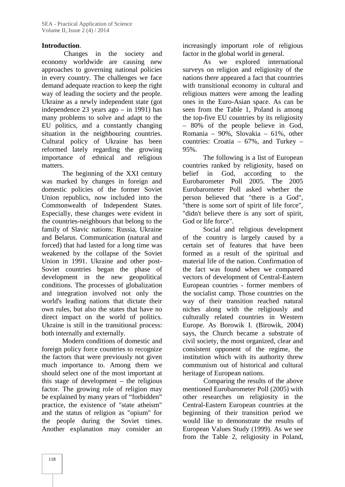### **Introduction**.

Changes in the society and economy worldwide are causing new approaches to governing national policies in every country. The challenges we face demand adequate reaction to keep the right way of leading the society and the people. Ukraine as a newly independent state (got independence 23 years ago – in 1991) has many problems to solve and adapt to the EU politics, and a constantly changing situation in the neighbouring countries. Cultural policy of Ukraine has been reformed lately regarding the growing importance of ethnical and religious matters.

The beginning of the XXI century belief was marked by changes in foreign and domestic policies of the former Soviet Union republics, now included into the Commonwealth of Independent States. Especially, these changes were evident in the countries-neighbours that belong to the family of Slavic nations: Russia, Ukraine and Belarus. Communication (natural and forced) that had lasted for a long time was weakened by the collapse of the Soviet Union in 1991. Ukraine and other post- Soviet countries began the phase of development in the new geopolitical conditions. The processes of globalization and integration involved not only the world's leading nations that dictate their own rules, but also the states that have no direct impact on the world of politics. Ukraine is still in the transitional process: both internally and externally.

Modern conditions of domestic and foreign policy force countries to recognize the factors that were previously not given much importance to. Among them we should select one of the most important at this stage of development – the religious factor. The growing role of religion may be explained by many years of "forbidden" practice, the existence of "state atheism" and the status of religion as "opium" for the people during the Soviet times. Another explanation may consider an increasingly important role of religious factor in the global world in general.

As we explored international surveys on religion and religiosity of the nations there appeared a fact that countries with transitional economy in cultural and religious matters were among the leading ones in the Euro-Asian space. As can be seen from the Table 1, Poland is among the top-five EU countries by its religiosity – 80% of the people believe in God, Romania – 90%, Slovakia – 61%, other countries: Croatia – 67%, and Turkey – 95%.

The following is a list of European countries ranked by religiosity, based on in God, according to the Eurobarometer Poll 2005. The 2005 Eurobarometer Poll asked whether the person believed that "there is a God", "there is some sort of spirit of life force", "didn't believe there is any sort of spirit, God or life force".

Social and religious development of the country is largely caused by a certain set of features that have been formed as a result of the spiritual and material life of the nation. Confirmation of the fact was found when we compared vectors of development of Central-Eastern European countries - former members of the socialist camp. Those countries on the way of their transition reached natural niches along with the religiously and culturally related countries in Western Europe. As Borowik I. (Birowik, 2004) says, the Church became a substrate of civil society, the most organized, clear and consistent opponent of the regime, the institution which with its authority threw communism out of historical and cultural heritage of European nations.

Comparing the results of the above mentioned Eurobarometer Poll (2005) with other researches on religiosity in the Central-Eastern European countries at the beginning of their transition period we would like to demonstrate the results of European Values Study (1999). As we see from the Table 2, religiosity in Poland,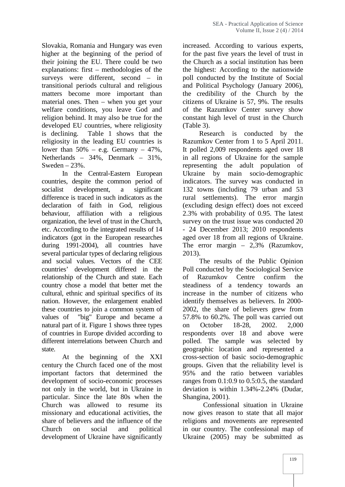Slovakia, Romania and Hungary was even higher at the beginning of the period of their joining the EU. There could be two explanations: first – methodologies of the surveys were different, second – in transitional periods cultural and religious matters become more important than material ones. Then – when you get your welfare conditions, you leave God and religion behind. It may also be true for the developed EU countries, where religiosity is declining. Table 1 shows that the religiosity in the leading EU countries is lower than  $50\%$  – e.g. Germany – 47%, Netherlands – 34%, Denmark – 31%, Sweden  $-23%$ .

In the Central-Eastern European countries, despite the common period of socialist development, a significant difference is traced in such indicators as the declaration of faith in God, religious behaviour, affiliation with a religious organization, the level of trust in the Church, etc. According to the integrated results of 14 indicators (got in the European researches during 1991-2004), all countries have several particular types of declaring religious and social values. Vectors of the CEE countries' development differed in the relationship of the Church and state. Each country chose a model that better met the cultural, ethnic and spiritual specifics of its nation. However, the enlargement enabled these countries to join a common system of values of "big" Europe and became a natural part of it. Figure 1 shows three types of countries in Europe divided according to different interrelations between Church and state.

At the beginning of the XXI century the Church faced one of the most important factors that determined the development of socio-economic processes not only in the world, but in Ukraine in particular. Since the late 80s when the Church was allowed to resume its missionary and educational activities, the share of believers and the influence of the Church on social and political development of Ukraine have significantly

increased. According to various experts, for the past five years the level of trust in the Church as a social institution has been the highest: According to the nationwide poll conducted by the Institute of Social and Political Psychology (January 2006), the credibility of the Church by the citizens of Ukraine is 57, 9%. The results of the Razumkov Center survey show constant high level of trust in the Church (Table 3).

Research is conducted by the Razumkov Center from 1 to 5 April 2011. It polled 2,009 respondents aged over 18 in all regions of Ukraine for the sample representing the adult population of Ukraine by main socio-demographic indicators. The survey was conducted in 132 towns (including 79 urban and 53 rural settlements). The error margin (excluding design effect) does not exceed 2.3% with probability of 0.95. The latest survey on the trust issue was conducted 20 - 24 December 2013; 2010 respondents aged over 18 from all regions of Ukraine. The error margin – 2,3% (Razumkov, 2013).The results of the Public Opinion

Poll conducted by the Sociological Service Razumkov Centre confirm the steadiness of a tendency towards an increase in the number of citizens who identify themselves as believers. In 2000- 2002, the share of believers grew from 57.8% to 60.2%. The poll was carried out on October 18-28, 2002. 2,000 respondents over 18 and above were polled. The sample was selected by geographic location and represented a cross-section of basic socio-demographic groups. Given that the reliability level is 95% and the ratio between variables ranges from 0.1:0.9 to 0.5:0.5, the standard deviation is within 1.34%-2.24% (Dudar, Shangina, 2001).

Confessional situation in Ukraine now gives reason to state that all major religions and movements are represented in our country. The confessional map of Ukraine (2005) may be submitted as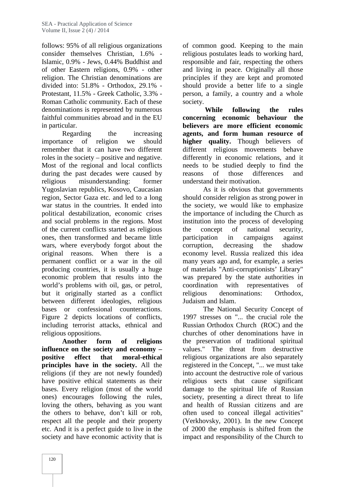follows: 95% of all religious organizations consider themselves Christian, 1.6% - Islamic, 0.9% - Jews, 0.44% Buddhist and of other Eastern religions, 0.9% - other religion. The Christian denominations are divided into: 51.8% - Orthodox, 29.1% - Protestant, 11.5% - Greek Catholic, 3.3% - Roman Catholic community. Each of these denominations is represented by numerous faithful communities abroad and in the EU in particular.

Regarding the increasing importance of religion we should remember that it can have two different roles in the society – positive and negative. Most of the regional and local conflicts during the past decades were caused by reasons religious misunderstanding: former Yugoslavian republics, Kosovo, Caucasian region, Sector Gaza etc. and led to a long war status in the countries. It ended into political destabilization, economic crises and social problems in the regions. Most of the current conflicts started as religious ones, then transformed and became little wars, where everybody forgot about the original reasons. When there is a permanent conflict or a war in the oil producing countries, it is usually a huge economic problem that results into the world's problems with oil, gas, or petrol, but it originally started as a conflict between different ideologies, religious bases or confessional counteractions. Figure 2 depicts locations of conflicts, including terrorist attacks, ethnical and religious oppositions.

**Another form of religions influence on the society and economy – positive effect that moral-ethical principles have in the society.** All the religions (if they are not newly founded) have positive ethical statements as their bases. Every religion (most of the world ones) encourages following the rules, loving the others, behaving as you want the others to behave, don't kill or rob, respect all the people and their property etc. And it is a perfect guide to live in the society and have economic activity that is

of common good. Keeping to the main religious postulates leads to working hard, responsible and fair, respecting the others and living in peace. Originally all those principles if they are kept and promoted should provide a better life to a single person, a family, a country and a whole society.

**While following the rules concerning economic behaviour the believers are more efficient economic agents, and form human resource of higher quality.** Though believers of different religious movements behave differently in economic relations, and it needs to be studied deeply to find the of those differences and understand their motivation.

As it is obvious that governments should consider religion as strong power in the society, we would like to emphasize the importance of including the Church as institution into the process of developing the concept of national security, participation in campaigns against corruption, decreasing the shadow economy level. Russia realized this idea many years ago and, for example, a series of materials "Anti-corruptionists' Library" was prepared by the state authorities in coordination with representatives of religious denominations: Orthodox, Judaism and Islam.

The National Security Concept of 1997 stresses on "... the crucial role the Russian Orthodox Church (ROC) and the churches of other denominations have in the preservation of traditional spiritual values." The threat from destructive religious organizations are also separately registered in the Concept, "... we must take into account the destructive role of various religious sects that cause significant damage to the spiritual life of Russian society, presenting a direct threat to life and health of Russian citizens and are often used to conceal illegal activities" (Verkhovsky, 2001). In the new Concept of 2000 the emphasis is shifted from the impact and responsibility of the Church to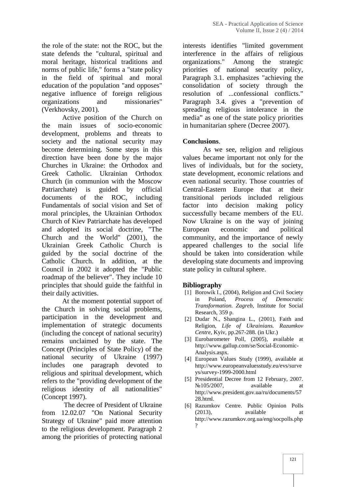the role of the state: not the ROC, but the state defends the "cultural, spiritual and moral heritage, historical traditions and norms of public life," forms a "state policy in the field of spiritual and moral education of the population "and opposes" negative influence of foreign religious organizations and missionaries" (Verkhovsky, 2001).

Active position of the Church on the main issues of socio-economic development, problems and threats to society and the national security may become determining. Some steps in this direction have been done by the major Churches in Ukraine: the Orthodox and Greek Catholic. Ukrainian Orthodox Church (in communion with the Moscow Patriarchate) is guided by official documents of the ROC, including Fundamentals of social vision and Set of moral principles, the Ukrainian Orthodox Church of Kiev Patriarchate has developed and adopted its social doctrine, "The Church and the World" (2001), the Ukrainian Greek Catholic Church is guided by the social doctrine of the Catholic Church. In addition, at the Council in 2002 it adopted the "Public roadmap of the believer". They include 10 principles that should guide the faithful in their daily activities.

At the moment potential support of the Church in solving social problems, participation in the development and implementation of strategic documents (including the concept of national security) remains unclaimed by the state. The Concept (Principles of State Policy) of the national security of Ukraine (1997) includes one paragraph devoted to religious and spiritual development, which refers to the "providing development of the religious identity of all nationalities" (Concept 1997).

The decree of President of Ukraine from 12.02.07 "On National Security Strategy of Ukraine" paid more attention to the religious development. Paragraph 2 among the priorities of protecting national

interests identifies "limited government interference in the affairs of religious organizations." Among the strategic priorities of national security policy, Paragraph 3.1. emphasizes "achieving the consolidation of society through the resolution of ...confessional conflicts." Paragraph 3.4. gives a "prevention of spreading religious intolerance in the media" as one of the state policy priorities in humanitarian sphere (Decree 2007).

### **Conclusions**.

As we see, religion and religious values became important not only for the lives of individuals, but for the society, state development, economic relations and even national security. Those countries of Central-Eastern Europe that at their transitional periods included religious factor into decision making policy successfully became members of the EU. Now Ukraine is on the way of joining economic and political community, and the importance of newly appeared challenges to the social life should be taken into consideration while developing state documents and improving state policy in cultural sphere.

#### **Bibliography**

- [1] Borowik I., (2004), Religion and Civil Society in Poland, *Process of Democratic Transformation. Zagreb*, Institute for Social Research, 359 p.
- [2] Dudar N., Shangina L., (2001), Faith and Religion, *Life of Ukrainians. Razumkov Centre*, Kyiv, pp.267-288. (in Ukr.)
- [3] Eurobarometer Poll, (2005), available at http://www.gallup.com/se/Social-Economic- Analysis.aspx.
- [4] European Values Study (1999), available at http://www.europeanvaluesstudy.eu/evs/surve ys/survey-1999-2000.html
- [5] Presidential Decree from 12 February, 2007. 105/2007, available at http://www.president.gov.ua/ru/documents/57 28.html.
- [6] Razumkov Centre. Public Opinion Polls (2013), available at http://www.razumkov.org.ua/eng/socpolls.php ?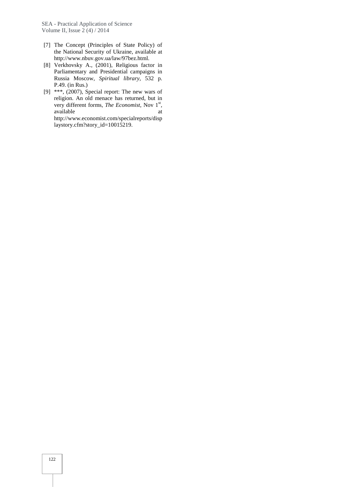- [7] The Concept (Principles of State Policy) of the National Security of Ukraine, available at http://www.nbuv.gov.ua/law/97bez.html.
- [8] Verkhovsky ., (2001), Religious factor in Parliamentary and Presidential campaigns in Russia oscow, Spiritual library, 532 p. P.49. (in Rus.)
- [9] \*\*\*, (2007), Special report: The new wars of religion. An old menace has returned, but in very different forms, *The Economist*, Nov 1<sup>st</sup>, available at a state at  $\alpha$ http://www.economist.com/specialreports/disp laystory.cfm?story\_id=10015219.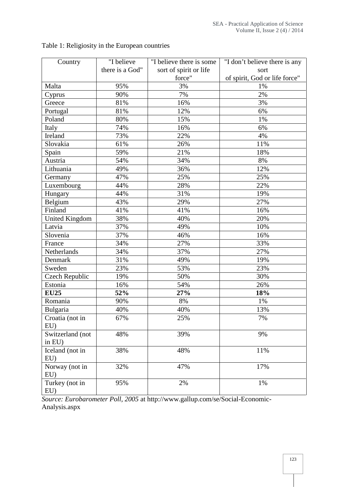| Country               | "I believe      | "I believe there is some | "I don't believe there is any |  |
|-----------------------|-----------------|--------------------------|-------------------------------|--|
|                       | there is a God" | sort of spirit or life   | sort                          |  |
|                       |                 | force"                   | of spirit, God or life force" |  |
| Malta                 | 95%             | 3%                       | 1%                            |  |
| Cyprus                | 90%             | 7%                       | 2%                            |  |
| Greece                | 81%             | 16%                      | 3%                            |  |
| Portugal              | 81%             | 12%                      | 6%                            |  |
| Poland                | 80%             | 15%                      | 1%                            |  |
| Italy                 | 74%             | 16%                      | 6%                            |  |
| Ireland               | 73%             | 22%                      | 4%                            |  |
| Slovakia              | 61%             | 26%                      | 11%                           |  |
| Spain                 | 59%             | 21%                      | 18%                           |  |
| Austria               | 54%             | 34%                      | 8%                            |  |
| Lithuania             | 49%             | 36%                      | 12%                           |  |
| Germany               | 47%             | 25%                      | 25%                           |  |
| Luxembourg            | 44%             | 28%                      | 22%                           |  |
| Hungary               | 44%             | 31%                      | 19%                           |  |
| Belgium               | 43%             | 29%                      | 27%                           |  |
| Finland               | 41%             | 41%                      | 16%                           |  |
| <b>United Kingdom</b> | 38%             | 40%                      | 20%                           |  |
| Latvia                | 37%             | 49%                      | 10%                           |  |
| Slovenia              | 37%             | 46%                      | 16%                           |  |
| France                | 34%             | 27%                      | 33%                           |  |
| Netherlands           | 34%             | 37%                      | 27%                           |  |
| Denmark               | 31%             | 49%                      | 19%                           |  |
| Sweden                | 23%             | 53%                      | 23%                           |  |
| <b>Czech Republic</b> | 19%             | 50%                      | 30%                           |  |
| Estonia               | 16%             | 54%                      | 26%                           |  |
| <b>EU25</b>           | 52%             | 27%                      | 18%                           |  |
| Romania               | 90%             | 8%                       | 1%                            |  |
| Bulgaria              | 40%             | 40%                      | 13%                           |  |
| Croatia (not in       | 67%             | 25%                      | $7\%$                         |  |
| EU                    |                 |                          |                               |  |
| Switzerland (not      | 48%             | 39%                      | 9%                            |  |
| in EU)                |                 |                          |                               |  |
| Iceland (not in       | 38%             | 48%                      | 11%                           |  |
| $EU$ )                |                 |                          |                               |  |
| Norway (not in        | 32%             | 47%                      | 17%                           |  |
| EU                    |                 |                          |                               |  |
| Turkey (not in        | 95%             | 2%                       | 1%                            |  |
| EU)                   |                 |                          |                               |  |

Table 1: Religiosity in the European countries

*Source: Eurobarometer Poll, 2005* at http://www.gallup.com/se/Social-Economic- Analysis.aspx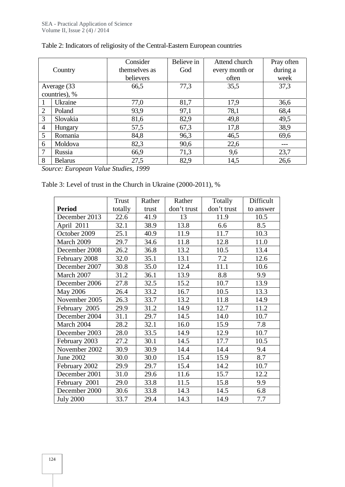|                |                | Consider      | Believe in | Attend church  | Pray often |
|----------------|----------------|---------------|------------|----------------|------------|
|                | Country        | themselves as | God        | every month or | during a   |
|                |                | believers     |            | often          | week       |
|                | Average (33)   | 66,5          | 77,3       | 35,5           | 37,3       |
|                | countries), %  |               |            |                |            |
|                | Ukraine        | 77,0          | 81,7       | 17,9           | 36,6       |
| 2              | Poland         | 93,9          | 97,1       | 78,1           | 68,4       |
| 3              | Slovakia       | 81,6          | 82,9       | 49,8           | 49,5       |
| $\overline{4}$ | Hungary        | 57,5          | 67,3       | 17,8           | 38,9       |
| 5              | Romania        | 84,8          | 96,3       | 46,5           | 69,6       |
| 6              | Moldova        | 82,3          | 90,6       | 22,6           | ---        |
| 7              | Russia         | 66,9          | 71,3       | 9,6            | 23,7       |
| 8              | <b>Belarus</b> | 27,5          | 82,9       | 14,5           | 26,6       |

## Table 2: Indicators of religiosity of the Central-Eastern European countries

*Source: European Value Studies, 1999*

| Table 3: Level of trust in the Church in Ukraine (2000-2011), % |  |
|-----------------------------------------------------------------|--|
|-----------------------------------------------------------------|--|

|                  | Trust   | Rather | Rather      | Totally     | Difficult |
|------------------|---------|--------|-------------|-------------|-----------|
| <b>Period</b>    | totally | trust  | don't trust | don't trust | to answer |
| December 2013    | 22.6    | 41.9   | 13          | 11.9        | 10.5      |
| April 2011       | 32.1    | 38.9   | 13.8        | 6.6         | 8.5       |
| October 2009     | 25.1    | 40.9   | 11.9        | 11.7        | 10.3      |
| March 2009       | 29.7    | 34.6   | 11.8        | 12.8        | 11.0      |
| December 2008    | 26.2    | 36.8   | 13.2        | 10.5        | 13.4      |
| February 2008    | 32.0    | 35.1   | 13.1        | 7.2         | 12.6      |
| December 2007    | 30.8    | 35.0   | 12.4        | 11.1        | 10.6      |
| March 2007       | 31.2    | 36.1   | 13.9        | 8.8         | 9.9       |
| December 2006    | 27.8    | 32.5   | 15.2        | 10.7        | 13.9      |
| May 2006         | 26.4    | 33.2   | 16.7        | 10.5        | 13.3      |
| November 2005    | 26.3    | 33.7   | 13.2        | 11.8        | 14.9      |
| February 2005    | 29.9    | 31.2   | 14.9        | 12.7        | 11.2      |
| December 2004    | 31.1    | 29.7   | 14.5        | 14.0        | 10.7      |
| March 2004       | 28.2    | 32.1   | 16.0        | 15.9        | 7.8       |
| December 2003    | 28.0    | 33.5   | 14.9        | 12.9        | 10.7      |
| February 2003    | 27.2    | 30.1   | 14.5        | 17.7        | 10.5      |
| November 2002    | 30.9    | 30.9   | 14.4        | 14.4        | 9.4       |
| June 2002        | 30.0    | 30.0   | 15.4        | 15.9        | 8.7       |
| February 2002    | 29.9    | 29.7   | 15.4        | 14.2        | 10.7      |
| December 2001    | 31.0    | 29.6   | 11.6        | 15.7        | 12.2      |
| February 2001    | 29.0    | 33.8   | 11.5        | 15.8        | 9.9       |
| December 2000    | 30.6    | 33.8   | 14.3        | 14.5        | 6.8       |
| <b>July 2000</b> | 33.7    | 29.4   | 14.3        | 14.9        | 7.7       |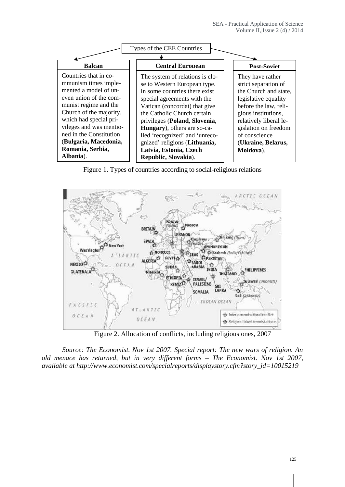

Figure 1. Types of countries according to social-religious relations



Figure 2. Allocation of conflicts, including religious ones, 2007

*Source: The Economist. Nov 1st 2007. Special report: The new wars of religion. An old menace has returned, but in very different forms – The Economist. Nov 1st 2007, available at http://www.economist.com/specialreports/displaystory.cfm?story\_id=10015219*